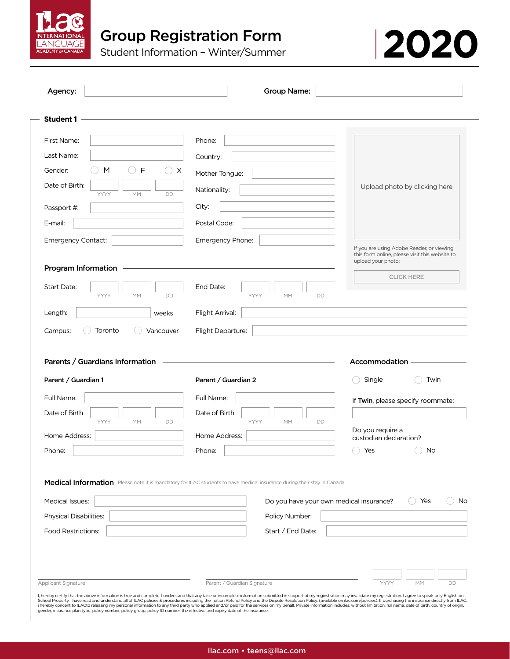

| Agency:                                                                                                                                          | <b>Group Name:</b>                                                                                                       |                                                                                                                   |
|--------------------------------------------------------------------------------------------------------------------------------------------------|--------------------------------------------------------------------------------------------------------------------------|-------------------------------------------------------------------------------------------------------------------|
| <b>Student 1</b>                                                                                                                                 |                                                                                                                          |                                                                                                                   |
| First Name:                                                                                                                                      | Phone:                                                                                                                   |                                                                                                                   |
| Last Name:                                                                                                                                       | Country:                                                                                                                 |                                                                                                                   |
| Gender:<br>F<br>M<br>X                                                                                                                           | Mother Tongue:                                                                                                           |                                                                                                                   |
| Date of Birth:<br>YYYY<br>MM<br>DD                                                                                                               | Nationality:                                                                                                             | Upload photo by clicking here                                                                                     |
| Passport #:                                                                                                                                      | City:                                                                                                                    |                                                                                                                   |
| E-mail:                                                                                                                                          | Postal Code:                                                                                                             |                                                                                                                   |
| Emergency Contact:                                                                                                                               | Emergency Phone:                                                                                                         |                                                                                                                   |
| Program Information                                                                                                                              |                                                                                                                          | If you are using Adobe Reader, or viewing<br>this form online, please visit this website to<br>upload your photo: |
|                                                                                                                                                  |                                                                                                                          | <b>CLICK HERE</b>                                                                                                 |
| Start Date:<br><b>YYYY</b><br><b>MM</b><br>DD                                                                                                    | End Date:<br><b>YYYY</b><br><b>MM</b><br><b>DD</b>                                                                       |                                                                                                                   |
| Length:<br>weeks                                                                                                                                 | Flight Arrival:                                                                                                          |                                                                                                                   |
| Toronto<br>Campus:<br>Vancouver                                                                                                                  | Flight Departure:                                                                                                        |                                                                                                                   |
| Parents / Guardians Information                                                                                                                  | the control of the control of the control of the control of the control of the control of                                | Accommodation                                                                                                     |
|                                                                                                                                                  | Parent / Guardian 2                                                                                                      | Single<br>Twin                                                                                                    |
|                                                                                                                                                  | Full Name:                                                                                                               | If Twin, please specify roommate:                                                                                 |
|                                                                                                                                                  | Date of Birth                                                                                                            |                                                                                                                   |
| YYYY<br>MM<br>DD                                                                                                                                 | YYYY<br>MM<br>DD                                                                                                         | Do you require a                                                                                                  |
|                                                                                                                                                  | Home Address:                                                                                                            | custodian declaration?                                                                                            |
|                                                                                                                                                  | Phone:                                                                                                                   | Yes<br>No                                                                                                         |
|                                                                                                                                                  | Medical Information Please note it is mandatory for ILAC students to have medical insurance during their stay in Canada. |                                                                                                                   |
|                                                                                                                                                  |                                                                                                                          |                                                                                                                   |
|                                                                                                                                                  | Do you have your own medical insurance?                                                                                  | Yes                                                                                                               |
|                                                                                                                                                  | Policy Number:<br>Start / End Date:                                                                                      |                                                                                                                   |
|                                                                                                                                                  |                                                                                                                          |                                                                                                                   |
| Parent / Guardian 1<br>Full Name:<br>Date of Birth<br>Home Address:<br>Phone:<br>Medical Issues:<br>Physical Disabilities:<br>Food Restrictions: |                                                                                                                          |                                                                                                                   |
| Applicant Signature                                                                                                                              | Parent / Guardian Signature                                                                                              | YYYY<br><b>MM</b><br>DD                                                                                           |

Student Information – Winter/Summer **2020**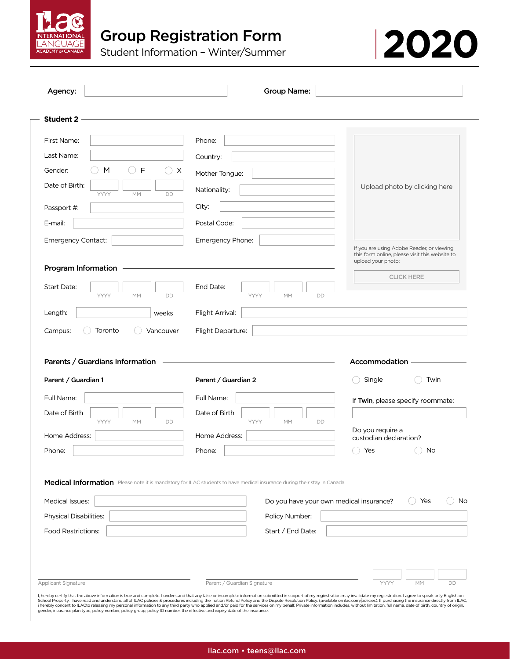



| Agency:                                                            | Group Name:                                                                                                                                                         |                                                                                                                   |
|--------------------------------------------------------------------|---------------------------------------------------------------------------------------------------------------------------------------------------------------------|-------------------------------------------------------------------------------------------------------------------|
| <b>Student 2</b>                                                   |                                                                                                                                                                     |                                                                                                                   |
| First Name:                                                        | Phone:                                                                                                                                                              |                                                                                                                   |
| Last Name:                                                         | Country:                                                                                                                                                            |                                                                                                                   |
| Gender:<br>F<br>M                                                  | $\bigcirc$ x<br>Mother Tongue:                                                                                                                                      |                                                                                                                   |
| Date of Birth:                                                     | Nationality:                                                                                                                                                        | Upload photo by clicking here                                                                                     |
| YYYY<br>MM<br>Passport #:                                          | DD<br>City:                                                                                                                                                         |                                                                                                                   |
| E-mail:                                                            | Postal Code:                                                                                                                                                        |                                                                                                                   |
| Emergency Contact:                                                 | Emergency Phone:                                                                                                                                                    |                                                                                                                   |
|                                                                    |                                                                                                                                                                     | If you are using Adobe Reader, or viewing<br>this form online, please visit this website to<br>upload your photo: |
| Program Information<br>Start Date:                                 | End Date:                                                                                                                                                           | <b>CLICK HERE</b>                                                                                                 |
| YYYY<br>MM                                                         | DD<br>YYYY<br>MM<br>DD                                                                                                                                              |                                                                                                                   |
| Length:<br>weeks                                                   | Flight Arrival:                                                                                                                                                     |                                                                                                                   |
|                                                                    |                                                                                                                                                                     |                                                                                                                   |
| Toronto<br>Campus:<br>Vancouver<br>Parents / Guardians Information | Flight Departure:                                                                                                                                                   | Accommodation                                                                                                     |
| Parent / Guardian 1                                                | Parent / Guardian 2                                                                                                                                                 | Single<br>Twin<br>$\qquad \qquad$                                                                                 |
|                                                                    | Full Name:                                                                                                                                                          | If Twin, please specify roommate:                                                                                 |
|                                                                    | Date of Birth                                                                                                                                                       |                                                                                                                   |
| Full Name:<br>Date of Birth<br>YYYY<br>MM<br>Home Address:         | YYYY<br>MM<br>DD<br>DD<br>Home Address:                                                                                                                             | Do you require a                                                                                                  |
|                                                                    | Phone:                                                                                                                                                              | custodian declaration?                                                                                            |
|                                                                    |                                                                                                                                                                     | Yes<br>No                                                                                                         |
|                                                                    | Medical Information Please note it is mandatory for ILAC students to have medical insurance during their stay in Canada.<br>Do you have your own medical insurance? | Yes                                                                                                               |
| Phone:<br><b>Medical Issues:</b><br>Physical Disabilities:         | Policy Number:                                                                                                                                                      |                                                                                                                   |
| <b>Food Restrictions:</b>                                          | Start / End Date:                                                                                                                                                   | No                                                                                                                |
|                                                                    |                                                                                                                                                                     |                                                                                                                   |
|                                                                    |                                                                                                                                                                     |                                                                                                                   |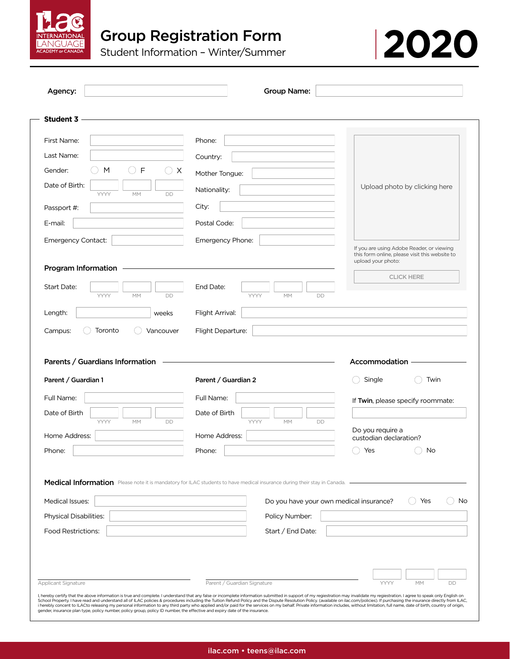

First Name:

Last Name:

Gender:

**Student 3**

Passport #: E-mail:

Date of Birth:

Campus:

Emergency Contact:

Program Information

 $\bigcap$  M

YYYY

 $\bigcirc$  F

MM

Vancouver

 $( \ )$ 

weeks

DD

Parents / Guardians Information

Toronto



| <b>Medical Issues:</b>        | Do you have your own medical insurance?<br>Yes                |
|-------------------------------|---------------------------------------------------------------|
| <b>Physical Disabilities:</b> | Policy Number:                                                |
| <b>Food Restrictions:</b>     | Start / End Date:                                             |
|                               |                                                               |
|                               |                                                               |
|                               |                                                               |
| Applicant Signature           | Parent / Guardian Signature<br>YYYY<br><b>MM</b><br><b>DD</b> |

School Property. I have read and understand all of ILAC policies & procedures including the Tuition Refund Policy and the Dispute Resolution Policy (available on ilac.com/policies). If purchasing the insurance directly fro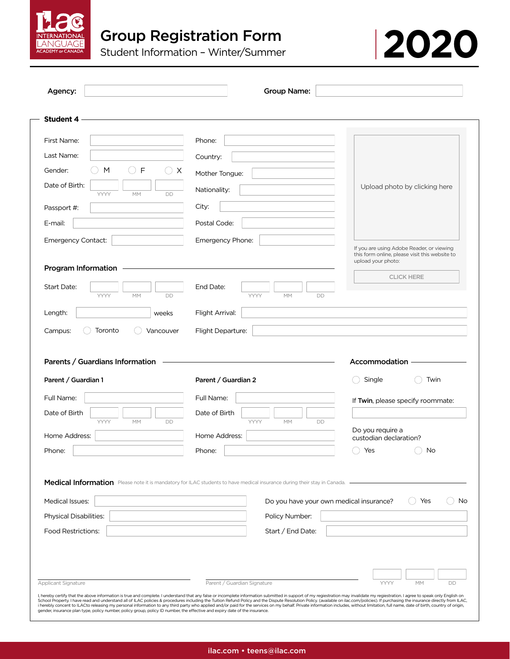



|                                                        | Group Name:                                                                                                              |                                                                                                                   |
|--------------------------------------------------------|--------------------------------------------------------------------------------------------------------------------------|-------------------------------------------------------------------------------------------------------------------|
| <b>Student 4</b>                                       |                                                                                                                          |                                                                                                                   |
| First Name:                                            | Phone:                                                                                                                   |                                                                                                                   |
| Last Name:                                             | Country:                                                                                                                 |                                                                                                                   |
| $\mathsf{F}$<br>Gender:<br>M                           | ○ X<br>Mother Tongue:                                                                                                    |                                                                                                                   |
| Date of Birth:                                         | Nationality:                                                                                                             | Upload photo by clicking here                                                                                     |
| YYYY<br>MM<br>Passport #:                              | DD<br>City:                                                                                                              |                                                                                                                   |
| E-mail:                                                | Postal Code:                                                                                                             |                                                                                                                   |
|                                                        |                                                                                                                          |                                                                                                                   |
| Emergency Contact:                                     | Emergency Phone:                                                                                                         | If you are using Adobe Reader, or viewing<br>this form online, please visit this website to<br>upload your photo: |
| Program Information                                    |                                                                                                                          | <b>CLICK HERE</b>                                                                                                 |
| Start Date:<br>YYYY<br>MM                              | End Date:<br>DD<br>YYYY<br>MM                                                                                            | <b>DD</b>                                                                                                         |
| Length:                                                | Flight Arrival:<br>weeks                                                                                                 |                                                                                                                   |
| Toronto<br>Campus:                                     | Flight Departure:                                                                                                        |                                                                                                                   |
|                                                        |                                                                                                                          | Accommodation                                                                                                     |
| Parents / Guardians Information<br>Parent / Guardian 1 | Parent / Guardian 2                                                                                                      | Single<br>Twin                                                                                                    |
| Full Name:                                             | Full Name:                                                                                                               |                                                                                                                   |
| Date of Birth                                          | Date of Birth                                                                                                            | If Twin, please specify roommate:                                                                                 |
| YYYY<br><b>MM</b>                                      | YYYY<br>DD<br><b>MM</b>                                                                                                  | DD<br>Do you require a                                                                                            |
|                                                        | Home Address:                                                                                                            | custodian declaration?                                                                                            |
| Home Address:<br>Phone:                                | Phone:                                                                                                                   | Yes<br>No                                                                                                         |
|                                                        | Medical Information Please note it is mandatory for ILAC students to have medical insurance during their stay in Canada. |                                                                                                                   |
| <b>Medical Issues:</b>                                 |                                                                                                                          | Do you have your own medical insurance?<br>Yes                                                                    |
| <b>Physical Disabilities:</b>                          | Policy Number:                                                                                                           |                                                                                                                   |
| <b>Food Restrictions:</b>                              | Start / End Date:                                                                                                        |                                                                                                                   |
|                                                        |                                                                                                                          |                                                                                                                   |
|                                                        |                                                                                                                          |                                                                                                                   |
| Applicant Signature                                    | Parent / Guardian Signature                                                                                              | No<br><b>MM</b><br>YYYY<br>DD                                                                                     |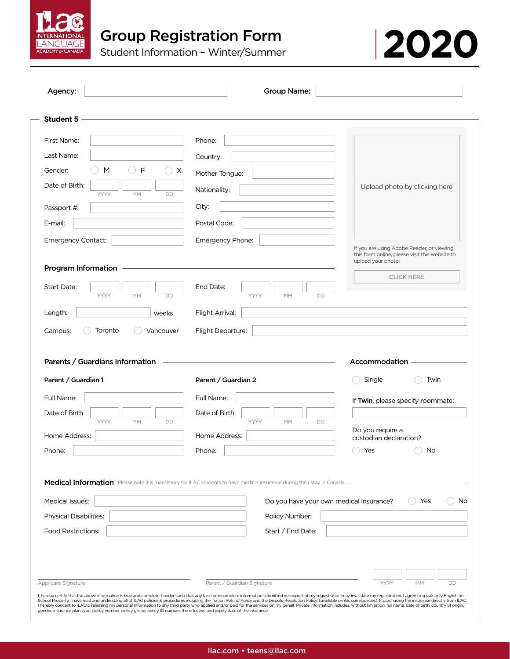

| <b>Student 5</b><br>First Name:<br>Last Name:<br>$\mathsf{F}$<br>Gender:<br>M<br>X<br>Date of Birth:<br>DD<br>YYYY<br>МM<br>Passport #:<br>E-mail:<br>Emergency Contact: | Phone:<br>Country:<br>Mother Tongue:<br>Nationality:<br>City:<br>Postal Code:<br>Emergency Phone: | Upload photo by clicking here                                                                                     |
|--------------------------------------------------------------------------------------------------------------------------------------------------------------------------|---------------------------------------------------------------------------------------------------|-------------------------------------------------------------------------------------------------------------------|
|                                                                                                                                                                          |                                                                                                   |                                                                                                                   |
|                                                                                                                                                                          |                                                                                                   |                                                                                                                   |
|                                                                                                                                                                          |                                                                                                   |                                                                                                                   |
|                                                                                                                                                                          |                                                                                                   |                                                                                                                   |
|                                                                                                                                                                          |                                                                                                   |                                                                                                                   |
|                                                                                                                                                                          |                                                                                                   |                                                                                                                   |
|                                                                                                                                                                          |                                                                                                   |                                                                                                                   |
|                                                                                                                                                                          |                                                                                                   |                                                                                                                   |
|                                                                                                                                                                          |                                                                                                   | If you are using Adobe Reader, or viewing<br>this form online, please visit this website to<br>upload your photo: |
| Program Information                                                                                                                                                      |                                                                                                   | <b>CLICK HERE</b>                                                                                                 |
| Start Date:<br>YYYY<br>МM<br>DD                                                                                                                                          | End Date:<br>YYYY<br>MM<br>DD                                                                     |                                                                                                                   |
| Length:<br>weeks                                                                                                                                                         | Flight Arrival:                                                                                   |                                                                                                                   |
|                                                                                                                                                                          |                                                                                                   |                                                                                                                   |
| Campus:<br>Toronto<br>Vancouver                                                                                                                                          | Flight Departure:                                                                                 |                                                                                                                   |
|                                                                                                                                                                          | Parent / Guardian 2                                                                               | Accommodation<br>Single<br>Twin                                                                                   |
| Parents / Guardians Information<br>Parent / Guardian 1<br>Full Name:                                                                                                     | Full Name:                                                                                        |                                                                                                                   |
| YYYY<br>МM<br>DD                                                                                                                                                         | Date of Birth<br>YYYY<br>MM<br>DD                                                                 | If Twin, please specify roommate:                                                                                 |
| Date of Birth<br>Home Address:                                                                                                                                           | Home Address:                                                                                     | Do you require a<br>custodian declaration?                                                                        |

Applicant Signature **Parent / Guardian Signature Parent / Guardian Signature** Parent / Guardian Signature Parent / **YYYY** 

I, hereby certify that the above information is true and complete. I understand that any false or incomplete information submitted in support of my regiestration may invalidate my regiestration. I agree to speak only Engli School Property. I have read and understand all of ILAC policies & procedures including the Tuition Refund Policy and the Dispute Resolution Policy (available on ilac.com/policies). If purchasing the insurance directly fro

MM

DD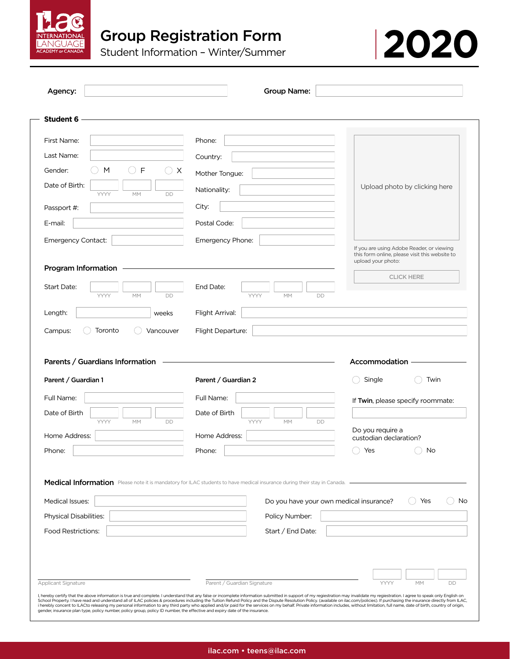



| Agency:                                                                                                                                                                                                             | Group Name:                                                                                                              |                                                                                                                   |
|---------------------------------------------------------------------------------------------------------------------------------------------------------------------------------------------------------------------|--------------------------------------------------------------------------------------------------------------------------|-------------------------------------------------------------------------------------------------------------------|
| <b>Student 6</b>                                                                                                                                                                                                    |                                                                                                                          |                                                                                                                   |
| First Name:                                                                                                                                                                                                         | Phone:                                                                                                                   |                                                                                                                   |
| Last Name:                                                                                                                                                                                                          | Country:                                                                                                                 |                                                                                                                   |
| F<br>Gender:<br>M<br>X                                                                                                                                                                                              | Mother Tongue:                                                                                                           |                                                                                                                   |
| Date of Birth:<br>YYYY<br>MM<br>DD                                                                                                                                                                                  | Nationality:                                                                                                             | Upload photo by clicking here                                                                                     |
| Passport #:                                                                                                                                                                                                         | City:                                                                                                                    |                                                                                                                   |
| E-mail:                                                                                                                                                                                                             | Postal Code:                                                                                                             |                                                                                                                   |
| Emergency Contact:                                                                                                                                                                                                  | Emergency Phone:                                                                                                         |                                                                                                                   |
|                                                                                                                                                                                                                     |                                                                                                                          | If you are using Adobe Reader, or viewing<br>this form online, please visit this website to<br>upload your photo: |
| Program Information                                                                                                                                                                                                 |                                                                                                                          | <b>CLICK HERE</b>                                                                                                 |
| Start Date:<br>YYYY<br>MM<br>DD                                                                                                                                                                                     | End Date:<br>YYYY<br>MM<br><b>DD</b>                                                                                     |                                                                                                                   |
| Length:<br>weeks                                                                                                                                                                                                    | Flight Arrival:                                                                                                          |                                                                                                                   |
|                                                                                                                                                                                                                     |                                                                                                                          |                                                                                                                   |
| Toronto<br>Vancouver                                                                                                                                                                                                | Flight Departure:                                                                                                        |                                                                                                                   |
|                                                                                                                                                                                                                     | Parent / Guardian 2                                                                                                      | Accommodation<br>Single<br>Twin                                                                                   |
|                                                                                                                                                                                                                     | Full Name:                                                                                                               | If Twin, please specify roommate:                                                                                 |
|                                                                                                                                                                                                                     | Date of Birth                                                                                                            |                                                                                                                   |
| YYYY<br>MM<br>DD                                                                                                                                                                                                    | YYYY<br>MM<br><b>DD</b>                                                                                                  | Do you require a                                                                                                  |
|                                                                                                                                                                                                                     | Home Address:<br>Phone:                                                                                                  | custodian declaration?<br>No<br>Yes                                                                               |
|                                                                                                                                                                                                                     | Medical Information Please note it is mandatory for ILAC students to have medical insurance during their stay in Canada. |                                                                                                                   |
|                                                                                                                                                                                                                     | Do you have your own medical insurance?                                                                                  | Yes                                                                                                               |
|                                                                                                                                                                                                                     | Policy Number:                                                                                                           |                                                                                                                   |
|                                                                                                                                                                                                                     | Start / End Date:                                                                                                        | No                                                                                                                |
| Campus:<br>Parents / Guardians Information<br>Parent / Guardian 1<br>Full Name:<br>Date of Birth<br>Home Address:<br>Phone:<br><b>Medical Issues:</b><br><b>Physical Disabilities:</b><br><b>Food Restrictions:</b> |                                                                                                                          |                                                                                                                   |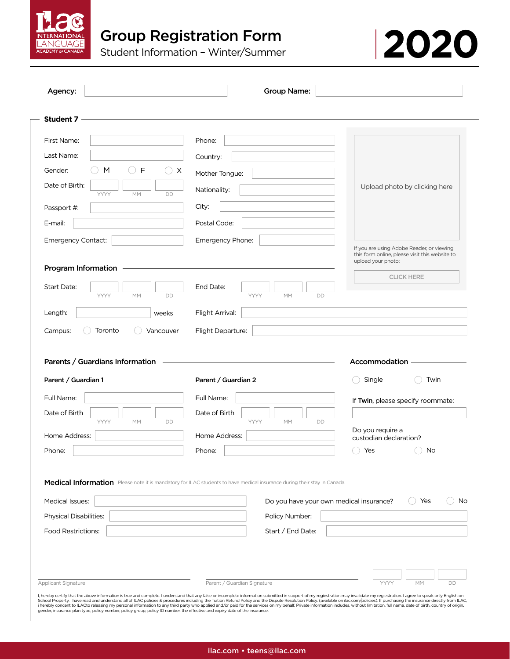

| Agency:                                                                                                     | <b>Group Name:</b>                                                                                                       |                                                                                                                   |
|-------------------------------------------------------------------------------------------------------------|--------------------------------------------------------------------------------------------------------------------------|-------------------------------------------------------------------------------------------------------------------|
| <b>Student 7</b>                                                                                            |                                                                                                                          |                                                                                                                   |
| First Name:                                                                                                 | Phone:                                                                                                                   |                                                                                                                   |
| Last Name:                                                                                                  | Country:                                                                                                                 |                                                                                                                   |
| Gender:<br>F<br>M                                                                                           | $\times$<br>Mother Tongue:                                                                                               |                                                                                                                   |
| Date of Birth:                                                                                              | Nationality:                                                                                                             | Upload photo by clicking here                                                                                     |
| YYYY<br>DD<br>МM<br>Passport #:                                                                             | City:                                                                                                                    |                                                                                                                   |
| E-mail:                                                                                                     | Postal Code:                                                                                                             |                                                                                                                   |
| Emergency Contact:                                                                                          | Emergency Phone:                                                                                                         |                                                                                                                   |
|                                                                                                             |                                                                                                                          | If you are using Adobe Reader, or viewing<br>this form online, please visit this website to<br>upload your photo: |
| Program Information                                                                                         |                                                                                                                          | <b>CLICK HERE</b>                                                                                                 |
| Start Date:<br>YYYY<br>MM<br>DD                                                                             | End Date:<br>YYYY<br><b>MM</b><br>DD                                                                                     |                                                                                                                   |
|                                                                                                             |                                                                                                                          |                                                                                                                   |
|                                                                                                             |                                                                                                                          |                                                                                                                   |
| Length:<br>weeks<br>Toronto<br>Campus:<br>Vancouver                                                         | Flight Arrival:<br>Flight Departure:                                                                                     |                                                                                                                   |
| Parents / Guardians Information<br>Parent / Guardian 1                                                      | Parent / Guardian 2                                                                                                      | Accommodation<br>Single<br>Twin                                                                                   |
| Full Name:                                                                                                  | Full Name:                                                                                                               |                                                                                                                   |
|                                                                                                             | Date of Birth                                                                                                            |                                                                                                                   |
| YYYY<br>MM<br>DD                                                                                            | YYYY<br>$\mathsf{MM}$<br><b>DD</b>                                                                                       | Do you require a                                                                                                  |
|                                                                                                             | Home Address:                                                                                                            | custodian declaration?                                                                                            |
|                                                                                                             | Phone:                                                                                                                   | No<br>Yes                                                                                                         |
|                                                                                                             | Medical Information Please note it is mandatory for ILAC students to have medical insurance during their stay in Canada. |                                                                                                                   |
|                                                                                                             | Do you have your own medical insurance?                                                                                  | Yes                                                                                                               |
|                                                                                                             | Policy Number:                                                                                                           |                                                                                                                   |
|                                                                                                             | Start / End Date:                                                                                                        |                                                                                                                   |
|                                                                                                             |                                                                                                                          |                                                                                                                   |
| Date of Birth<br>Home Address:<br>Phone:<br>Medical Issues:<br>Physical Disabilities:<br>Food Restrictions: |                                                                                                                          | If Twin, please specify roommate:                                                                                 |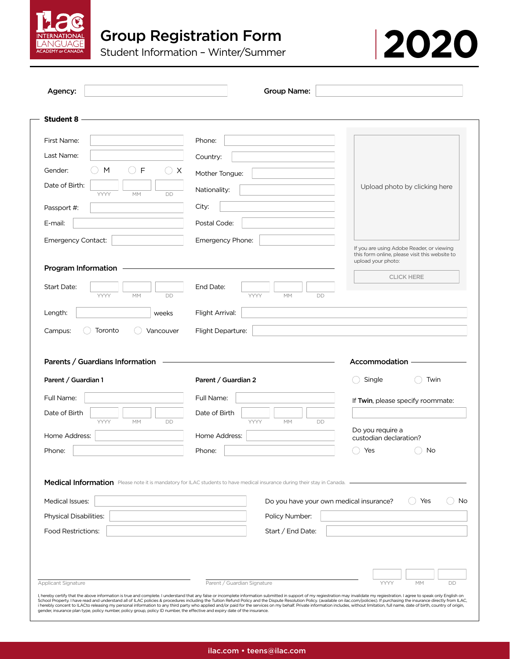



| Agency:                                                                                                                                                                                               | <b>Group Name:</b>                                                                                                                                                                                         |                                                                                                                   |
|-------------------------------------------------------------------------------------------------------------------------------------------------------------------------------------------------------|------------------------------------------------------------------------------------------------------------------------------------------------------------------------------------------------------------|-------------------------------------------------------------------------------------------------------------------|
| <b>Student 8</b>                                                                                                                                                                                      |                                                                                                                                                                                                            |                                                                                                                   |
| First Name:                                                                                                                                                                                           | Phone:                                                                                                                                                                                                     |                                                                                                                   |
| Last Name:                                                                                                                                                                                            | Country:                                                                                                                                                                                                   |                                                                                                                   |
| $\mathsf{F}$<br>Gender:<br>$\times$<br>M                                                                                                                                                              | Mother Tongue:                                                                                                                                                                                             |                                                                                                                   |
| Date of Birth:                                                                                                                                                                                        | Nationality:                                                                                                                                                                                               | Upload photo by clicking here                                                                                     |
| YYYY<br><b>MM</b><br>DD<br>Passport #:                                                                                                                                                                | City:                                                                                                                                                                                                      |                                                                                                                   |
| E-mail:                                                                                                                                                                                               | Postal Code:                                                                                                                                                                                               |                                                                                                                   |
|                                                                                                                                                                                                       |                                                                                                                                                                                                            |                                                                                                                   |
| Emergency Contact:                                                                                                                                                                                    | Emergency Phone:                                                                                                                                                                                           | If you are using Adobe Reader, or viewing<br>this form online, please visit this website to<br>upload your photo: |
| Program Information                                                                                                                                                                                   |                                                                                                                                                                                                            | <b>CLICK HERE</b>                                                                                                 |
| Start Date:<br>YYYY<br>MM<br>DD                                                                                                                                                                       | End Date:<br>YYYY<br>$\mathsf{MM}$<br>DD                                                                                                                                                                   |                                                                                                                   |
| Length:<br>weeks                                                                                                                                                                                      | Flight Arrival:                                                                                                                                                                                            |                                                                                                                   |
|                                                                                                                                                                                                       |                                                                                                                                                                                                            |                                                                                                                   |
| Toronto<br>Vancouver                                                                                                                                                                                  | Flight Departure:                                                                                                                                                                                          | Accommodation                                                                                                     |
|                                                                                                                                                                                                       | Parent / Guardian 2                                                                                                                                                                                        | Single<br>Twin                                                                                                    |
|                                                                                                                                                                                                       | Full Name:                                                                                                                                                                                                 | If Twin, please specify roommate:                                                                                 |
|                                                                                                                                                                                                       | Date of Birth                                                                                                                                                                                              |                                                                                                                   |
| YYYY<br>MM<br>DD                                                                                                                                                                                      | YYYY<br>MM<br>DD                                                                                                                                                                                           | Do you require a                                                                                                  |
|                                                                                                                                                                                                       | Home Address:<br>Phone:                                                                                                                                                                                    | custodian declaration?<br>Yes<br>No                                                                               |
| Campus:<br>Parents / Guardians Information<br>Parent / Guardian 1<br>Full Name:<br>Date of Birth<br>Home Address:<br>Phone:<br><b>Medical Issues:</b><br>Physical Disabilities:<br>Food Restrictions: | Medical Information Please note it is mandatory for ILAC students to have medical insurance during their stay in Canada.<br>Do you have your own medical insurance?<br>Policy Number:<br>Start / End Date: | Yes<br>No                                                                                                         |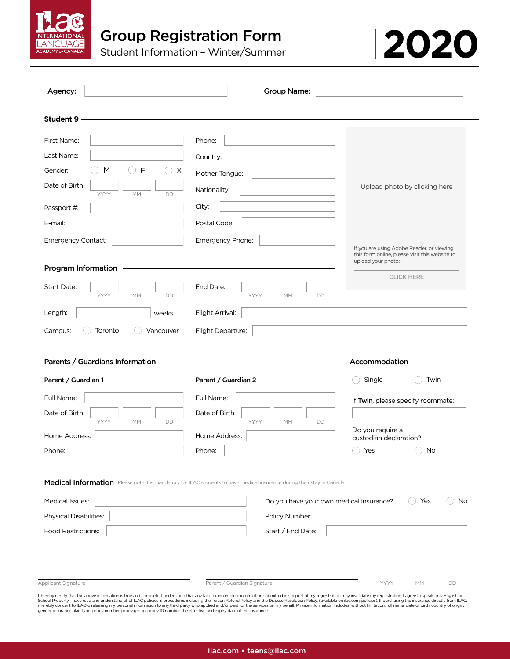



| Agency:                                               | <b>Group Name:</b>                                                                                                       |                                                                                                                   |
|-------------------------------------------------------|--------------------------------------------------------------------------------------------------------------------------|-------------------------------------------------------------------------------------------------------------------|
| <b>Student 9</b>                                      |                                                                                                                          |                                                                                                                   |
| First Name:                                           | Phone:                                                                                                                   |                                                                                                                   |
| Last Name:                                            | Country:                                                                                                                 |                                                                                                                   |
| F<br>Gender:<br>M                                     | $\cup$ X<br>Mother Tongue:                                                                                               |                                                                                                                   |
| Date of Birth:                                        | Nationality:                                                                                                             | Upload photo by clicking here                                                                                     |
| YYYY<br>МM<br>Passport #:                             | DD<br>City:                                                                                                              |                                                                                                                   |
| E-mail:                                               | Postal Code:                                                                                                             |                                                                                                                   |
|                                                       |                                                                                                                          |                                                                                                                   |
| Emergency Contact:                                    | Emergency Phone:                                                                                                         | If you are using Adobe Reader, or viewing<br>this form online, please visit this website to<br>upload your photo: |
| Program Information                                   |                                                                                                                          | <b>CLICK HERE</b>                                                                                                 |
| Start Date:<br>YYYY<br>MM                             | End Date:<br>DD<br>YYYY<br>MM<br>DD                                                                                      |                                                                                                                   |
| Length:                                               | Flight Arrival:<br>weeks                                                                                                 |                                                                                                                   |
|                                                       |                                                                                                                          |                                                                                                                   |
| Toronto<br>Campus:<br>Parents / Guardians Information | Flight Departure:<br>Vancouver                                                                                           | Accommodation                                                                                                     |
| Parent / Guardian 1                                   | Parent / Guardian 2                                                                                                      | Single<br>Twin                                                                                                    |
| Full Name:                                            | Full Name:                                                                                                               | If Twin, please specify roommate:                                                                                 |
| Date of Birth                                         | Date of Birth                                                                                                            |                                                                                                                   |
| YYYY<br>MM                                            | YYYY<br>DD<br>MM<br>DD                                                                                                   | Do you require a                                                                                                  |
|                                                       | Home Address:                                                                                                            | custodian declaration?                                                                                            |
| Home Address:<br>Phone:                               | Phone:                                                                                                                   | Yes<br>No                                                                                                         |
|                                                       | Medical Information Please note it is mandatory for ILAC students to have medical insurance during their stay in Canada. |                                                                                                                   |
| Medical Issues:                                       |                                                                                                                          | Do you have your own medical insurance?<br>Yes                                                                    |
| <b>Physical Disabilities:</b>                         | Policy Number:                                                                                                           |                                                                                                                   |
| Food Restrictions:                                    | Start / End Date:                                                                                                        |                                                                                                                   |
|                                                       |                                                                                                                          |                                                                                                                   |
|                                                       |                                                                                                                          | No                                                                                                                |
| <b>Applicant Signature</b>                            | Parent / Guardian Signature                                                                                              | YYYY<br><b>MM</b><br><b>DD</b>                                                                                    |